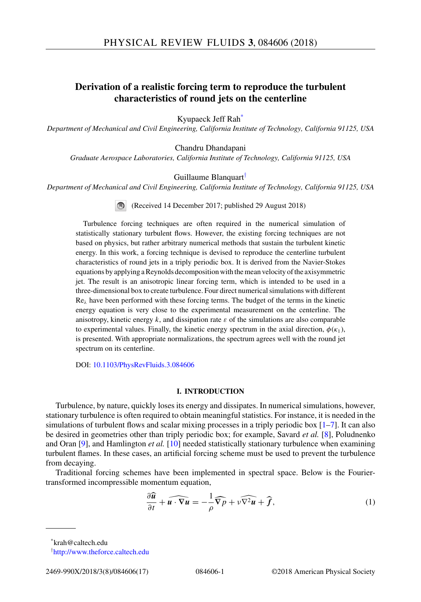# <span id="page-0-0"></span>**Derivation of a realistic forcing term to reproduce the turbulent characteristics of round jets on the centerline**

Kyupaeck Jeff Rah\*

*Department of Mechanical and Civil Engineering, California Institute of Technology, California 91125, USA*

Chandru Dhandapani

*Graduate Aerospace Laboratories, California Institute of Technology, California 91125, USA*

Guillaume Blanquart†

*Department of Mechanical and Civil Engineering, California Institute of Technology, California 91125, USA*

(Received 14 December 2017; published 29 August 2018)

Turbulence forcing techniques are often required in the numerical simulation of statistically stationary turbulent flows. However, the existing forcing techniques are not based on physics, but rather arbitrary numerical methods that sustain the turbulent kinetic energy. In this work, a forcing technique is devised to reproduce the centerline turbulent characteristics of round jets in a triply periodic box. It is derived from the Navier-Stokes equations by applying a Reynolds decomposition with the mean velocity of the axisymmetric jet. The result is an anisotropic linear forcing term, which is intended to be used in a three-dimensional box to create turbulence. Four direct numerical simulations with different Re*<sup>λ</sup>* have been performed with these forcing terms. The budget of the terms in the kinetic energy equation is very close to the experimental measurement on the centerline. The anisotropy, kinetic energy *k*, and dissipation rate *ε* of the simulations are also comparable to experimental values. Finally, the kinetic energy spectrum in the axial direction,  $\phi(\kappa_1)$ , is presented. With appropriate normalizations, the spectrum agrees well with the round jet spectrum on its centerline.

DOI: [10.1103/PhysRevFluids.3.084606](https://doi.org/10.1103/PhysRevFluids.3.084606)

## **I. INTRODUCTION**

Turbulence, by nature, quickly loses its energy and dissipates. In numerical simulations, however, stationary turbulence is often required to obtain meaningful statistics. For instance, it is needed in the simulations of turbulent flows and scalar mixing processes in a triply periodic box  $[1-7]$  $[1-7]$ . It can also be desired in geometries other than triply periodic box; for example, Savard *et al.* [\[8\]](#page-15-0), Poludnenko and Oran [\[9\]](#page-15-0), and Hamlington *et al.* [\[10\]](#page-15-0) needed statistically stationary turbulence when examining turbulent flames. In these cases, an artificial forcing scheme must be used to prevent the turbulence from decaying.

Traditional forcing schemes have been implemented in spectral space. Below is the Fouriertransformed incompressible momentum equation, -

momentum equation,  
\n
$$
\frac{\partial \widehat{u}}{\partial t} + \widehat{u \cdot \nabla u} = -\frac{1}{\rho} \widehat{\nabla p} + \nu \widehat{\nabla^2 u} + \widehat{f},
$$
\n(1)

\*krah@caltech.edu

<sup>†</sup> <http://www.theforce.caltech.edu>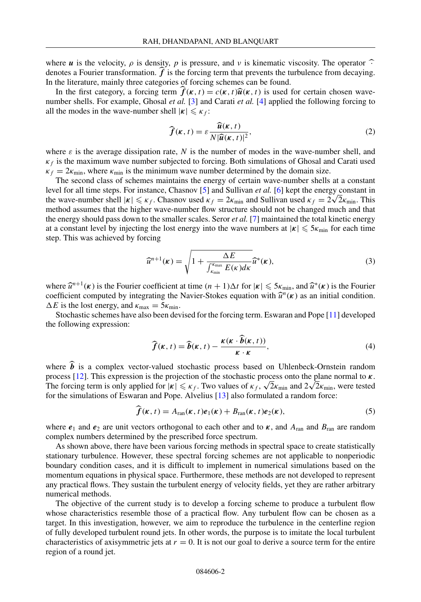where *u* is the velocity, *ρ* is density, *p* is pressure, and *ν* is kinematic viscosity. The operator  $\hat{\cdot}$ denotes a Fourier transformation.  $f$  is the forcing term that prevents the turbulence from decaying. In the literature, mainly three categories of forcing schemes can be found.

In the first category, a forcing term  $f(k, t) = c(k, t)\hat{u}(k, t)$  is used for certain chosen wave-<br>when shalls. For example, Chosel at  $s^1$ , [3] and Certicated L1 anglied the following foreing to number shells. For example, Ghosal *et al.* [\[3\]](#page-14-0) and Carati *et al.* [\[4\]](#page-14-0) applied the following forcing to all the modes in the wave-number shell  $|\kappa| \leq \kappa_f$ :

$$
\widehat{f}(\kappa, t) = \varepsilon \frac{\widehat{u}(\kappa, t)}{N |\widehat{u}(\kappa, t)|^2},
$$
\n(2)

where  $\varepsilon$  is the average dissipation rate, N is the number of modes in the wave-number shell, and  $\kappa_f$  is the maximum wave number subjected to forcing. Both simulations of Ghosal and Carati used  $\kappa_f = 2\kappa_{\min}$ , where  $\kappa_{\min}$  is the minimum wave number determined by the domain size.

The second class of schemes maintains the energy of certain wave-number shells at a constant level for all time steps. For instance, Chasnov [\[5\]](#page-14-0) and Sullivan *et al.* [\[6\]](#page-14-0) kept the energy constant in the wave-number shell  $|\kappa| \le \kappa_f$ . Chasnov used  $\kappa_f = 2\kappa_{\min}$  and Sullivan used  $\kappa_f = 2\sqrt{2}\kappa_{\min}$ . This method assumes that the higher wave-number flow structure should not be changed much and that the energy should pass down to the smaller scales. Seror *et al.* [\[7\]](#page-15-0) maintained the total kinetic energy at a constant level by injecting the lost energy into the wave numbers at  $|\kappa| \leq 5\kappa_{\min}$  for each time step. This was achieved by forcing

$$
\widehat{u}^{n+1}(\kappa) = \sqrt{1 + \frac{\Delta E}{\int_{\kappa_{\min}}^{\kappa_{\max}} E(\kappa) d\kappa}} \widehat{u}^*(\kappa), \tag{3}
$$

where  $\hat{u}^{n+1}(\kappa)$  is the Fourier coefficient at time  $(n+1)\Delta t$  for  $|\kappa| \leq 5\kappa_{\min}$ , and  $\hat{u}^*(\kappa)$  is the Fourier coefficient computed by integrating the Navier-Stokes equation with  $\hat{u}^n(\kappa)$  as an initial condition.  $\Delta E$  is the lost energy, and  $\kappa_{\text{max}} = 5\kappa_{\text{min}}$ .

Stochastic schemes have also been devised for the forcing term. Eswaran and Pope [\[11\]](#page-15-0) developed the following expression:

$$
\widehat{f}(\kappa, t) = \widehat{b}(\kappa, t) - \frac{\kappa(\kappa \cdot \widehat{b}(\kappa, t))}{\kappa \cdot \kappa},
$$
\n(4)

where  $\boldsymbol{b}$  is a complex vector-valued stochastic process based on Uhlenbeck-Ornstein random process [\[12\]](#page-15-0). This expression is the projection of the stochastic process onto the plane normal to *κ*. The forcing term is only applied for  $|\kappa| \le \kappa_f$ . Two values of  $\kappa_f$ ,  $\sqrt{2}\kappa_{\min}$  and  $2\sqrt{2}\kappa_{\min}$ , were tested for the simulations of Eswaran and Pope. Alvelius [\[13\]](#page-15-0) also formulated a random force:

$$
\widehat{f}(\kappa, t) = A_{\text{ran}}(\kappa, t) e_1(\kappa) + B_{\text{ran}}(\kappa, t) e_2(\kappa),
$$
\n(5)

where  $e_1$  and  $e_2$  are unit vectors orthogonal to each other and to  $\kappa$ , and  $A_{\text{ran}}$  and  $B_{\text{ran}}$  are random complex numbers determined by the prescribed force spectrum.

As shown above, there have been various forcing methods in spectral space to create statistically stationary turbulence. However, these spectral forcing schemes are not applicable to nonperiodic boundary condition cases, and it is difficult to implement in numerical simulations based on the momentum equations in physical space. Furthermore, these methods are not developed to represent any practical flows. They sustain the turbulent energy of velocity fields, yet they are rather arbitrary numerical methods.

The objective of the current study is to develop a forcing scheme to produce a turbulent flow whose characteristics resemble those of a practical flow. Any turbulent flow can be chosen as a target. In this investigation, however, we aim to reproduce the turbulence in the centerline region of fully developed turbulent round jets. In other words, the purpose is to imitate the local turbulent characteristics of axisymmetric jets at  $r = 0$ . It is not our goal to derive a source term for the entire region of a round jet.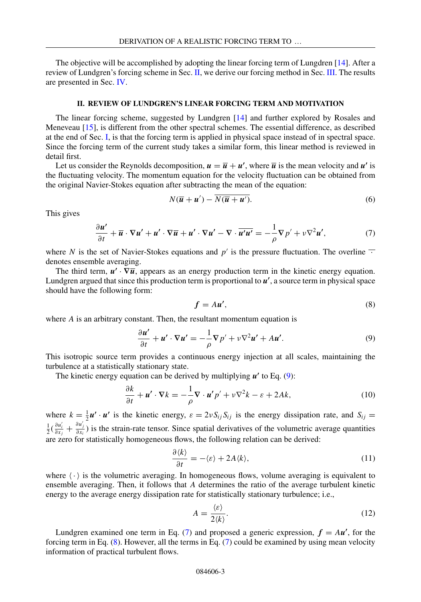<span id="page-2-0"></span>The objective will be accomplished by adopting the linear forcing term of Lungdren [\[14\]](#page-15-0). After a review of Lundgren's forcing scheme in Sec. II, we derive our forcing method in Sec. [III.](#page-3-0) The results are presented in Sec. [IV.](#page-8-0)

## **II. REVIEW OF LUNDGREN'S LINEAR FORCING TERM AND MOTIVATION**

The linear forcing scheme, suggested by Lundgren [\[14\]](#page-15-0) and further explored by Rosales and Meneveau [\[15\]](#page-15-0), is different from the other spectral schemes. The essential difference, as described at the end of Sec. [I,](#page-0-0) is that the forcing term is applied in physical space instead of in spectral space. Since the forcing term of the current study takes a similar form, this linear method is reviewed in detail first.

Let us consider the Reynolds decomposition,  $u = \overline{u} + u'$ , where  $\overline{u}$  is the mean velocity and  $u'$  is the fluctuating velocity. The momentum equation for the velocity fluctuation can be obtained from the original Navier-Stokes equation after subtracting the mean of the equation:

$$
N(\overline{u} + u') - N(\overline{u} + u'). \tag{6}
$$

This gives

$$
\frac{\partial u'}{\partial t} + \overline{u} \cdot \nabla u' + u' \cdot \nabla \overline{u} + u' \cdot \nabla u' - \nabla \cdot \overline{u'u'} = -\frac{1}{\rho} \nabla p' + \nu \nabla^2 u',\tag{7}
$$

where *N* is the set of Navier-Stokes equations and  $p'$  is the pressure fluctuation. The overline  $\overline{\cdot}$ denotes ensemble averaging.

The third term,  $u' \cdot \nabla \overline{u}$ , appears as an energy production term in the kinetic energy equation. Lundgren argued that since this production term is proportional to *u* , a source term in physical space should have the following form:

$$
f = Au',\tag{8}
$$

where *A* is an arbitrary constant. Then, the resultant momentum equation is

$$
\frac{\partial u'}{\partial t} + u' \cdot \nabla u' = -\frac{1}{\rho} \nabla p' + \nu \nabla^2 u' + Au'.
$$
 (9)

This isotropic source term provides a continuous energy injection at all scales, maintaining the turbulence at a statistically stationary state.

The kinetic energy equation can be derived by multiplying *u'* to Eq. (9):

$$
\frac{\partial k}{\partial t} + \mathbf{u}' \cdot \nabla k = -\frac{1}{\rho} \nabla \cdot \mathbf{u}' p' + \nu \nabla^2 k - \varepsilon + 2Ak,\tag{10}
$$

where  $k = \frac{1}{2}u' \cdot u'$  is the kinetic energy,  $\varepsilon = 2vS_{ij}S_{ij}$  is the energy dissipation rate, and  $S_{ij}$  $\frac{1}{2}(\frac{\partial u'_i}{\partial x_j} + \frac{\partial u'_j}{\partial x_i})$  is the strain-rate tensor. Since spatial derivatives of the volumetric average quantities are zero for statistically homogeneous flows, the following relation can be derived:

$$
\frac{\partial \langle k \rangle}{\partial t} = -\langle \varepsilon \rangle + 2A \langle k \rangle, \tag{11}
$$

where  $\langle \cdot \rangle$  is the volumetric averaging. In homogeneous flows, volume averaging is equivalent to ensemble averaging. Then, it follows that *A* determines the ratio of the average turbulent kinetic energy to the average energy dissipation rate for statistically stationary turbulence; i.e.,

$$
A = \frac{\langle \varepsilon \rangle}{2 \langle k \rangle}.
$$
 (12)

Lundgren examined one term in Eq. (7) and proposed a generic expression,  $f = Au'$ , for the forcing term in Eq. (8). However, all the terms in Eq. (7) could be examined by using mean velocity information of practical turbulent flows.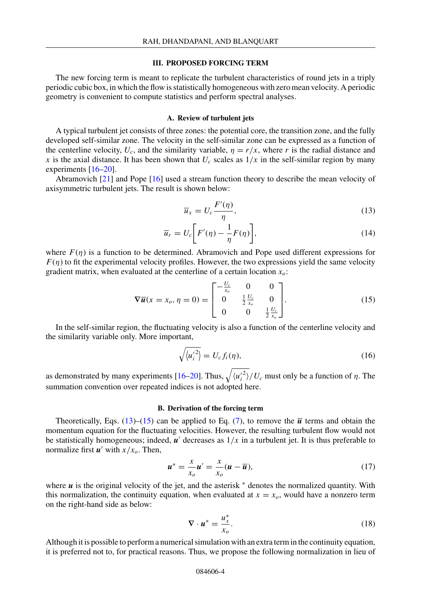#### **III. PROPOSED FORCING TERM**

<span id="page-3-0"></span>The new forcing term is meant to replicate the turbulent characteristics of round jets in a triply periodic cubic box, in which the flow is statistically homogeneous with zero mean velocity. A periodic geometry is convenient to compute statistics and perform spectral analyses.

#### **A. Review of turbulent jets**

A typical turbulent jet consists of three zones: the potential core, the transition zone, and the fully developed self-similar zone. The velocity in the self-similar zone can be expressed as a function of the centerline velocity,  $U_c$ , and the similarity variable,  $\eta = r/x$ , where r is the radial distance and *x* is the axial distance. It has been shown that  $U_c$  scales as  $1/x$  in the self-similar region by many experiments [\[16–20\]](#page-15-0).

Abramovich [\[21\]](#page-15-0) and Pope [\[16\]](#page-15-0) used a stream function theory to describe the mean velocity of axisymmetric turbulent jets. The result is shown below:

$$
\overline{u}_x = U_c \frac{F'(\eta)}{\eta},\tag{13}
$$

$$
\overline{u}_r = U_c \bigg[ F'(\eta) - \frac{1}{\eta} F(\eta) \bigg],\tag{14}
$$

where  $F(\eta)$  is a function to be determined. Abramovich and Pope used different expressions for  $F(\eta)$  to fit the experimental velocity profiles. However, the two expressions yield the same velocity gradient matrix, when evaluated at the centerline of a certain location *xo*:

$$
\nabla \overline{u}(x = x_o, \eta = 0) = \begin{bmatrix} -\frac{U_c}{x_o} & 0 & 0\\ 0 & \frac{1}{2}\frac{U_c}{x_o} & 0\\ 0 & 0 & \frac{1}{2}\frac{U_c}{x_o} \end{bmatrix}.
$$
 (15)

In the self-similar region, the fluctuating velocity is also a function of the centerline velocity and the similarity variable only. More important,

$$
\sqrt{\left\langle u_i^{\prime 2} \right\rangle} = U_c f_i(\eta), \tag{16}
$$

as demonstrated by many experiments [\[16–20\]](#page-15-0). Thus,  $\sqrt{\langle u_i'^2 \rangle}/U_c$  must only be a function of *η*. The summation convention over repeated indices is not adopted here.

# **B. Derivation of the forcing term**

Theoretically, Eqs.  $(13)$ – $(15)$  can be applied to Eq.  $(7)$ , to remove the  $\overline{u}$  terms and obtain the momentum equation for the fluctuating velocities. However, the resulting turbulent flow would not be statistically homogeneous; indeed,  $\mathbf{u}'$  decreases as  $1/x$  in a turbulent jet. It is thus preferable to normalize first  $u'$  with  $x/x_0$ . Then,

$$
\boldsymbol{u}^* = \frac{x}{x_o} \boldsymbol{u}' = \frac{x}{x_o} (\boldsymbol{u} - \overline{\boldsymbol{u}}), \tag{17}
$$

where  $\boldsymbol{u}$  is the original velocity of the jet, and the asterisk  $*$  denotes the normalized quantity. With this normalization, the continuity equation, when evaluated at  $x = x<sub>o</sub>$ , would have a nonzero term on the right-hand side as below:

$$
\nabla \cdot \boldsymbol{u}^* = \frac{u_x^*}{x_o}.
$$
 (18)

Although it is possible to perform a numerical simulation with an extra term in the continuity equation, it is preferred not to, for practical reasons. Thus, we propose the following normalization in lieu of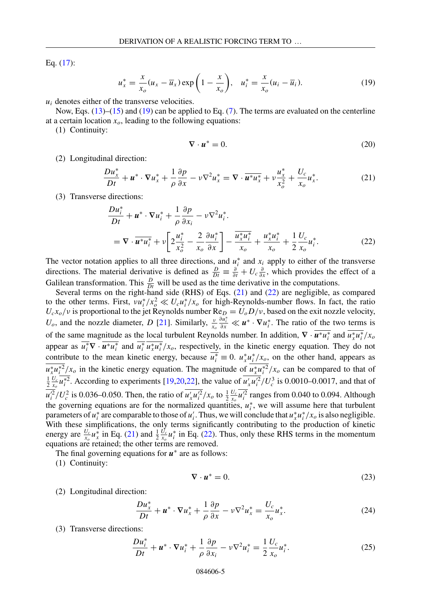<span id="page-4-0"></span>Eq. [\(17\)](#page-3-0):

$$
u_x^* = \frac{x}{x_o}(u_x - \overline{u}_x) \exp\left(1 - \frac{x}{x_o}\right), \quad u_i^* = \frac{x}{x_o}(u_i - \overline{u}_i). \tag{19}
$$

 $u_i$  denotes either of the transverse velocities.

Now, Eqs. [\(13\)](#page-3-0)–[\(15\)](#page-3-0) and (19) can be applied to Eq. [\(7\)](#page-2-0). The terms are evaluated on the centerline at a certain location  $x<sub>o</sub>$ , leading to the following equations:

(1) Continuity:

$$
\nabla \cdot \mathbf{u}^* = 0. \tag{20}
$$

(2) Longitudinal direction:

$$
\frac{D u_x^*}{Dt} + \boldsymbol{u}^* \cdot \nabla u_x^* + \frac{1}{\rho} \frac{\partial p}{\partial x} - \nu \nabla^2 u_x^* = \nabla \cdot \overline{\boldsymbol{u}^* u_x^*} + \nu \frac{u_x^*}{x_o^2} + \frac{U_c}{x_o} u_x^*.
$$
 (21)

(3) Transverse directions:

$$
\frac{Du_i^*}{Dt} + \boldsymbol{u}^* \cdot \nabla u_i^* + \frac{1}{\rho} \frac{\partial p}{\partial x_i} - \nu \nabla^2 u_i^*.
$$
  
=  $\nabla \cdot \overline{\boldsymbol{u}^* u_i^*} + \nu \left[ 2 \frac{u_i^*}{x_o^2} - \frac{2}{x_o} \frac{\partial u_i^*}{\partial x} \right] - \frac{\overline{u}_x^* u_i^*}{x_o} + \frac{u_x^* u_i^*}{x_o} + \frac{1}{2} \frac{U_c}{x_o} u_i^*.$  (22)

The vector notation applies to all three directions, and  $u_i^*$  and  $x_i$  apply to either of the transverse directions. The material derivative is defined as  $\frac{D}{Dt} = \frac{\partial}{\partial t} + U_c \frac{\partial}{\partial x}$ , which provides the effect of a Galilean transformation. This  $\frac{D}{Dt}$  will be used as the time derivative in the computations.

Several terms on the right-hand side (RHS) of Eqs. (21) and (22) are negligible, as compared to the other terms. First,  $vu_i^*/x_o^2 \ll U_c u_i^*/x_o$  for high-Reynolds-number flows. In fact, the ratio  $U_c x_o/v$  is proportional to the jet Reynolds number  $Re_D = U_o D/v$ , based on the exit nozzle velocity,  $U_o$ , and the nozzle diameter, *D* [\[21\]](#page-15-0). Similarly,  $\frac{v}{x_o}$  $\frac{\partial u_i^*}{\partial x} \ll u^* \cdot \nabla u_i^*$ . The ratio of the two terms is of the same magnitude as the local turbulent Reynolds number. In addition,  $\nabla \cdot \mathbf{u}^* u_i^*$  and  $u_x^* u_i^* / x_o$ appear as  $u_i^* \nabla \cdot u^* u_i^*$  and  $u_i^* u_x^* u_i^* / x_o$ , respectively, in the kinetic energy equation. They do not contribute to the mean kinetic energy, because  $u_i^* \equiv 0$ .  $u_x^* u_j^* / x_o$ , on the other hand, appears as  $u_x^* u_i^{*2}/x_o$  in the kinetic energy equation. The magnitude of  $u_x^* u_i^{*2}/x_o$  can be compared to that of  $\frac{1}{2} \frac{U_c}{x_o} u_i^*$ . According to experiments [\[19,20,22\]](#page-15-0), the value of  $u'_x u_i'^2/U_c^3$  is 0.0010–0.0017, and that of  $\frac{u_i^2}{U_c^2}$  is 0.036–0.050. Then, the ratio of  $\frac{u_x u_i^2}{x_o}$  to  $\frac{1}{2} \frac{U_c}{x_o} \frac{u_i^2}{u_i^2}$  ranges from 0.040 to 0.094. Although the governing equations are for the normalized quantities,  $u_i^*$ , we will assume here that turbulent parameters of  $u_i^*$  are comparable to those of  $u_i'$ . Thus, we will conclude that  $u_x^*u_i^*/x_o$  is also negligible. With these simplifications, the only terms significantly contributing to the production of kinetic energy are  $\frac{U_c}{x_o} u_x^*$  in Eq. (21) and  $\frac{1}{2} \frac{U_c}{x_o} u_i^*$  in Eq. (22). Thus, only these RHS terms in the momentum equations are retained; the other terms are removed.

The final governing equations for *u*<sup>∗</sup> are as follows:

(1) Continuity:

$$
\nabla \cdot \mathbf{u}^* = 0. \tag{23}
$$

(2) Longitudinal direction:

$$
\frac{Du_x^*}{Dt} + \boldsymbol{u}^* \cdot \nabla u_x^* + \frac{1}{\rho} \frac{\partial p}{\partial x} - \nu \nabla^2 u_x^* = \frac{U_c}{x_o} u_x^*.
$$
 (24)

(3) Transverse directions:

$$
\frac{Du_i^*}{Dt} + \boldsymbol{u}^* \cdot \nabla u_i^* + \frac{1}{\rho} \frac{\partial p}{\partial x_i} - \nu \nabla^2 u_i^* = \frac{1}{2} \frac{U_c}{x_o} u_i^*.
$$
\n(25)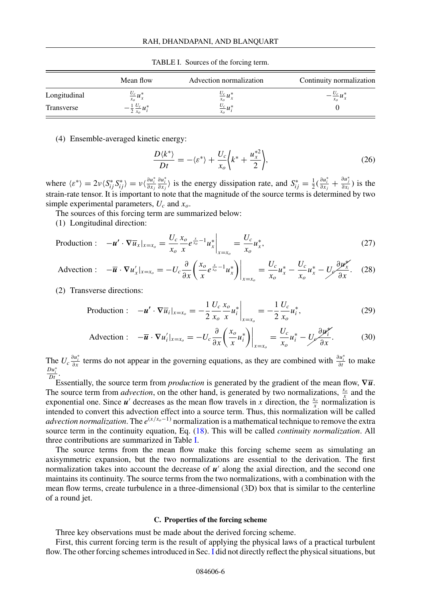<span id="page-5-0"></span>

|              | Mean flow                          | Advection normalization | Continuity normalization |
|--------------|------------------------------------|-------------------------|--------------------------|
| Longitudinal | $\frac{U_c}{x_o} u_x^*$            | $\frac{U_c}{x_o} u_x^*$ | $-\frac{U_c}{x_o}u_x$    |
| Transverse   | $-\frac{1}{2}\frac{U_c}{x_o}u_i^*$ | $\frac{U_c}{x_o} u_i^*$ |                          |

TABLE I. Sources of the forcing term.

(4) Ensemble-averaged kinetic energy:

$$
\frac{D\langle k^* \rangle}{Dt} = -\langle \varepsilon^* \rangle + \frac{U_c}{x_o} \bigg\langle k^* + \frac{u_x^{*2}}{2} \bigg\rangle, \tag{26}
$$

where  $\langle \varepsilon^* \rangle = 2\nu \langle S^*_{ij} S^*_{ij} \rangle = \nu \langle \frac{\partial u_i^*}{\partial x_j} \rangle$ *∂u*<sup>\*</sup><sub>*i*</sub></sub> is the energy dissipation rate, and  $S_{ij}^* = \frac{1}{2}(\frac{\partial u_i^*}{\partial x_j} + \frac{\partial u_j^*}{\partial x_i})$  is the strain-rate tensor. It is important to note that the magnitude of the source terms is determined by two simple experimental parameters, *Uc* and *xo*.

The sources of this forcing term are summarized below:

(1) Longitudinal direction:

$$
\text{Production:} \quad -\boldsymbol{u}' \cdot \nabla \overline{u}_x|_{x=x_o} = \frac{U_c}{x_o} \frac{x_o}{x} e^{\frac{x}{x_o} - 1} u_x^* \bigg|_{x=x_o} = \frac{U_c}{x_o} u_x^*,\tag{27}
$$

$$
\text{Advection}: \quad -\overline{\boldsymbol{u}} \cdot \nabla u_x'|_{x=x_o} = -U_c \frac{\partial}{\partial x} \left( \frac{x_o}{x} e^{\frac{x}{x_o} - 1} u_x^* \right) \bigg|_{x=x_o} = \frac{U_c}{x_o} u_x^* - \frac{U_c}{x_o} u_x^* - \frac{U_c}{\partial x} u_x^* \tag{28}
$$

(2) Transverse directions:

Production: 
$$
-\mathbf{u}' \cdot \nabla \overline{u}_i|_{x=x_o} = -\frac{1}{2} \frac{U_c}{x_o} \frac{x_o}{x} u_i^* \bigg|_{x=x_o} = -\frac{1}{2} \frac{U_c}{x_o} u_i^*,
$$
 (29)

$$
\text{Advection}: \quad -\overline{\boldsymbol{u}} \cdot \nabla u_i'|_{x=x_o} = -U_c \frac{\partial}{\partial x} \left( \frac{x_o}{x} u_i^* \right) \bigg|_{x=x_o} = \frac{U_c}{x_o} u_i^* - \frac{U_c}{\partial x} \frac{\partial u_i^*}{\partial x}.\tag{30}
$$

The  $U_c \frac{\partial u_i^*}{\partial x}$  terms do not appear in the governing equations, as they are combined with  $\frac{\partial u_i^*}{\partial t}$  to make  $\frac{Du_i^*}{Dt}$ .

Essentially, the source term from *production* is generated by the gradient of the mean flow,  $\nabla \overline{u}$ . The source term from *advection*, on the other hand, is generated by two normalizations,  $\frac{x_o}{x}$  and the exponential one. Since  $u'$  decreases as the mean flow travels in *x* direction, the  $\frac{x_o}{x}$  normalization is intended to convert this advection effect into a source term. Thus, this normalization will be called *advection normalization*. The *e*(*x/xo*−1) normalization is a mathematical technique to remove the extra source term in the continuity equation, Eq. [\(18\)](#page-3-0). This will be called *continuity normalization*. All three contributions are summarized in Table I.

The source terms from the mean flow make this forcing scheme seem as simulating an axisymmetric expansion, but the two normalizations are essential to the derivation. The first normalization takes into account the decrease of  $u'$  along the axial direction, and the second one maintains its continuity. The source terms from the two normalizations, with a combination with the mean flow terms, create turbulence in a three-dimensional (3D) box that is similar to the centerline of a round jet.

## **C. Properties of the forcing scheme**

Three key observations must be made about the derived forcing scheme.

First, this current forcing term is the result of applying the physical laws of a practical turbulent flow. The other forcing schemes introduced in Sec. [I](#page-0-0) did not directly reflect the physical situations, but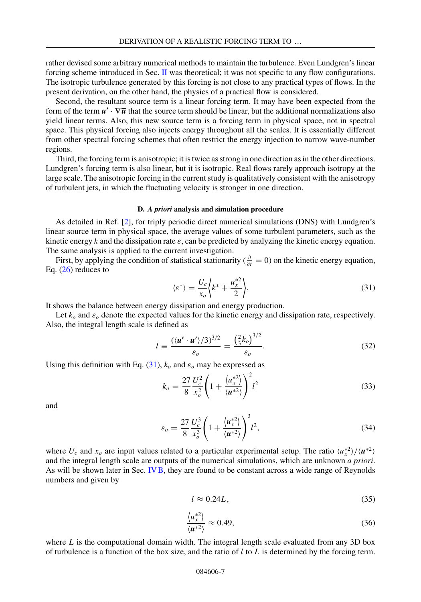<span id="page-6-0"></span>rather devised some arbitrary numerical methods to maintain the turbulence. Even Lundgren's linear forcing scheme introduced in Sec. [II](#page-2-0) was theoretical; it was not specific to any flow configurations. The isotropic turbulence generated by this forcing is not close to any practical types of flows. In the present derivation, on the other hand, the physics of a practical flow is considered.

Second, the resultant source term is a linear forcing term. It may have been expected from the form of the term  $u' \cdot \nabla \overline{u}$  that the source term should be linear, but the additional normalizations also yield linear terms. Also, this new source term is a forcing term in physical space, not in spectral space. This physical forcing also injects energy throughout all the scales. It is essentially different from other spectral forcing schemes that often restrict the energy injection to narrow wave-number regions.

Third, the forcing term is anisotropic; it is twice as strong in one direction as in the other directions. Lundgren's forcing term is also linear, but it is isotropic. Real flows rarely approach isotropy at the large scale. The anisotropic forcing in the current study is qualitatively consistent with the anisotropy of turbulent jets, in which the fluctuating velocity is stronger in one direction.

### **D.** *A priori* **analysis and simulation procedure**

As detailed in Ref. [\[2\]](#page-14-0), for triply periodic direct numerical simulations (DNS) with Lundgren's linear source term in physical space, the average values of some turbulent parameters, such as the kinetic energy  $k$  and the dissipation rate  $\varepsilon$ , can be predicted by analyzing the kinetic energy equation. The same analysis is applied to the current investigation.

First, by applying the condition of statistical stationarity ( $\frac{\partial}{\partial t} = 0$ ) on the kinetic energy equation, Eq. [\(26\)](#page-5-0) reduces to

$$
\langle \varepsilon^* \rangle = \frac{U_c}{x_o} \bigg\langle k^* + \frac{u_x^{*2}}{2} \bigg\rangle. \tag{31}
$$

It shows the balance between energy dissipation and energy production.

Let  $k_0$  and  $\varepsilon_0$  denote the expected values for the kinetic energy and dissipation rate, respectively. Also, the integral length scale is defined as

$$
l = \frac{(\langle \mathbf{u}' \cdot \mathbf{u}' \rangle / 3)^{3/2}}{\varepsilon_o} = \frac{\left(\frac{2}{3}k_o\right)^{3/2}}{\varepsilon_o}.
$$
 (32)

Using this definition with Eq.  $(31)$ ,  $k<sub>o</sub>$  and  $\varepsilon<sub>o</sub>$  may be expressed as

$$
k_o = \frac{27}{8} \frac{U_c^2}{x_o^2} \left( 1 + \frac{\langle u_x^{*2} \rangle}{\langle u^{*2} \rangle} \right)^2 l^2
$$
 (33)

and

$$
\varepsilon_o = \frac{27}{8} \frac{U_c^3}{x_o^3} \left( 1 + \frac{\langle u_x^{*2} \rangle}{\langle u^{*2} \rangle} \right)^3 l^2,
$$
\n(34)

where  $U_c$  and  $x_o$  are input values related to a particular experimental setup. The ratio  $\langle u_x^* \rangle / \langle u^{*2} \rangle$ and the integral length scale are outputs of the numerical simulations, which are unknown *a priori*. As will be shown later in Sec. [IVB,](#page-8-0) they are found to be constant across a wide range of Reynolds numbers and given by

$$
l \approx 0.24L,\tag{35}
$$

$$
\frac{\langle u_x^{*2} \rangle}{\langle u^{*2} \rangle} \approx 0.49,\tag{36}
$$

where  $L$  is the computational domain width. The integral length scale evaluated from any 3D box of turbulence is a function of the box size, and the ratio of *l* to *L* is determined by the forcing term.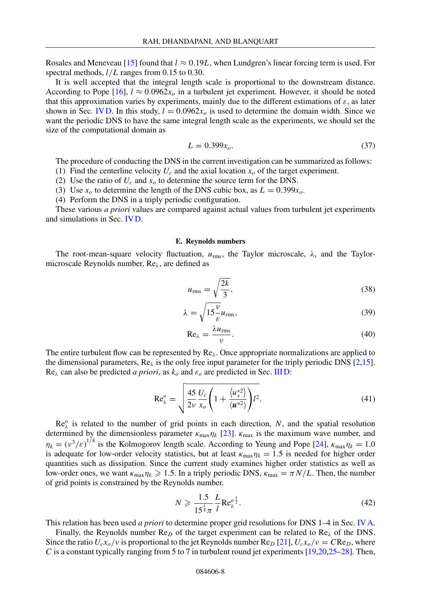<span id="page-7-0"></span>Rosales and Meneveau [\[15\]](#page-15-0) found that  $l \approx 0.19L$ , when Lundgren's linear forcing term is used. For spectral methods, *l/L* ranges from 0.15 to 0.30.

It is well accepted that the integral length scale is proportional to the downstream distance. According to Pope [\[16\]](#page-15-0),  $l \approx 0.0962x_0$  in a turbulent jet experiment. However, it should be noted that this approximation varies by experiments, mainly due to the different estimations of  $\varepsilon$ , as later shown in Sec. [IV D.](#page-11-0) In this study,  $l = 0.0962x<sub>o</sub>$  is used to determine the domain width. Since we want the periodic DNS to have the same integral length scale as the experiments, we should set the size of the computational domain as

$$
L = 0.399x_o. \tag{37}
$$

The procedure of conducting the DNS in the current investigation can be summarized as follows:

- (1) Find the centerline velocity  $U_c$  and the axial location  $x_o$  of the target experiment.
- (2) Use the ratio of  $U_c$  and  $x_o$  to determine the source term for the DNS.
- (3) Use  $x_o$  to determine the length of the DNS cubic box, as  $L = 0.399x_o$ .
- (4) Perform the DNS in a triply periodic configuration.

These various *a priori* values are compared against actual values from turbulent jet experiments and simulations in Sec. [IV D.](#page-11-0)

#### **E. Reynolds numbers**

The root-mean-square velocity fluctuation,  $u_{\text{rms}}$ , the Taylor microscale,  $\lambda$ , and the Taylormicroscale Reynolds number, Re*λ*, are defined as

$$
u_{\rm rms} = \sqrt{\frac{2k}{3}},\tag{38}
$$

$$
\lambda = \sqrt{15\frac{\nu}{\varepsilon}} u_{\rm rms},\tag{39}
$$

$$
Re_{\lambda} = \frac{\lambda u_{\rm rms}}{\nu}.
$$
 (40)

The entire turbulent flow can be represented by Re*λ*. Once appropriate normalizations are applied to the dimensional parameters,  $\text{Re}_{\lambda}$  is the only free input parameter for the triply periodic DNS [\[2,](#page-14-0)[15\]](#page-15-0). Re<sub>λ</sub> can also be predicted *a priori*, as  $k_o$  and  $\varepsilon_o$  are predicted in Sec. IIID:

$$
\operatorname{Re}_{\lambda}^o = \sqrt{\frac{45}{2\nu} \frac{U_c}{x_o} \left( 1 + \frac{\langle u_x^* \rangle}{\langle u^{*2} \rangle} \right) l^2}.
$$
 (41)

 $\text{Re}_{\lambda}^{\circ}$  is related to the number of grid points in each direction, *N*, and the spatial resolution determined by the dimensionless parameter  $\kappa_{\text{max}} \eta_k$  [\[23\]](#page-15-0).  $\kappa_{\text{max}}$  is the maximum wave number, and  $\eta_k = (v^3/\varepsilon)^{1/4}$  is the Kolmogorov length scale. According to Yeung and Pope [\[24\]](#page-15-0),  $\kappa_{\text{max}} \eta_k = 1.0$ is adequate for low-order velocity statistics, but at least  $\kappa_{\text{max}}\eta_k = 1.5$  is needed for higher order quantities such as dissipation. Since the current study examines higher order statistics as well as low-order ones, we want  $κ_{\text{max}}η_k \geq 1.5$ . In a triply periodic DNS,  $κ_{\text{max}} = πN/L$ . Then, the number of grid points is constrained by the Reynolds number.

$$
N \geqslant \frac{1.5}{15^{\frac{1}{4}}\pi} \frac{L}{l} \text{Re}_{\lambda}^{o^{\frac{3}{2}}}.
$$
\n(42)

This relation has been used *a priori* to determine proper grid resolutions for DNS 1–4 in Sec. [IV A.](#page-8-0)

Finally, the Reynolds number Re*<sup>D</sup>* of the target experiment can be related to Re*<sup>λ</sup>* of the DNS. Since the ratio  $U_c x_o/v$  is proportional to the jet Reynolds number  $\text{Re}_D[21]$  $\text{Re}_D[21]$ ,  $U_c x_o/v = C \text{Re}_D$ , where *C* is a constant typically ranging from 5 to 7 in turbulent round jet experiments [\[19,20,25–28\]](#page-15-0). Then,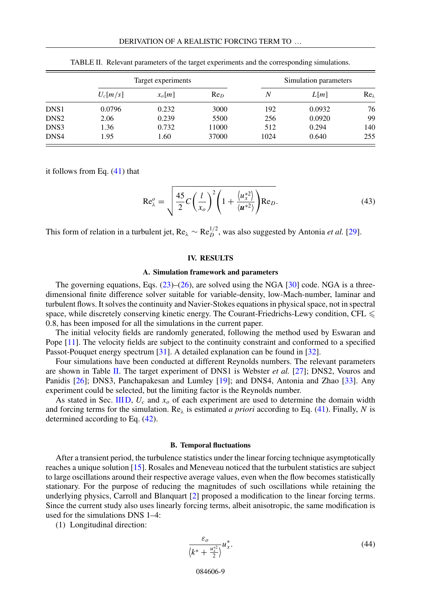<span id="page-8-0"></span>

|                  | Target experiments |          | Simulation parameters |      |        |                |
|------------------|--------------------|----------|-----------------------|------|--------|----------------|
|                  | $U_c[m/s]$         | $x_o[m]$ | Re <sub>D</sub>       | N    | L[m]   | $Re_{\lambda}$ |
| DNS1             | 0.0796             | 0.232    | 3000                  | 192  | 0.0932 | 76             |
| DNS <sub>2</sub> | 2.06               | 0.239    | 5500                  | 256  | 0.0920 | 99             |
| DNS3             | 1.36               | 0.732    | 11000                 | 512  | 0.294  | 140            |
| DNS4             | 1.95               | 1.60     | 37000                 | 1024 | 0.640  | 255            |

TABLE II. Relevant parameters of the target experiments and the corresponding simulations.

it follows from Eq. [\(41\)](#page-7-0) that

$$
\operatorname{Re}_{\lambda}^{o} = \sqrt{\frac{45}{2}C\left(\frac{l}{x_o}\right)^2 \left(1 + \frac{\langle u_x^{*2} \rangle}{\langle u^{*2} \rangle}\right) \operatorname{Re}_D}.
$$
 (43)

This form of relation in a turbulent jet,  $Re_\lambda \sim Re_D^{1/2}$ , was also suggested by Antonia *et al.* [\[29\]](#page-15-0).

## **IV. RESULTS**

#### **A. Simulation framework and parameters**

The governing equations, Eqs.  $(23)$ – $(26)$ , are solved using the NGA [\[30\]](#page-15-0) code. NGA is a threedimensional finite difference solver suitable for variable-density, low-Mach-number, laminar and turbulent flows. It solves the continuity and Navier-Stokes equations in physical space, not in spectral space, while discretely conserving kinetic energy. The Courant-Friedrichs-Lewy condition, CFL  $\leqslant$ 0*.*8, has been imposed for all the simulations in the current paper.

The initial velocity fields are randomly generated, following the method used by Eswaran and Pope [\[11\]](#page-15-0). The velocity fields are subject to the continuity constraint and conformed to a specified Passot-Pouquet energy spectrum [\[31\]](#page-15-0). A detailed explanation can be found in [\[32\]](#page-15-0).

Four simulations have been conducted at different Reynolds numbers. The relevant parameters are shown in Table II. The target experiment of DNS1 is Webster *et al.* [\[27\]](#page-15-0); DNS2, Vouros and Panidis [\[26\]](#page-15-0); DNS3, Panchapakesan and Lumley [\[19\]](#page-15-0); and DNS4, Antonia and Zhao [\[33\]](#page-15-0). Any experiment could be selected, but the limiting factor is the Reynolds number.

As stated in Sec. [III D,](#page-6-0)  $U_c$  and  $x_o$  of each experiment are used to determine the domain width and forcing terms for the simulation. Re*<sup>λ</sup>* is estimated *a priori* according to Eq. [\(41\)](#page-7-0). Finally, *N* is determined according to Eq. [\(42\)](#page-7-0).

#### **B. Temporal fluctuations**

After a transient period, the turbulence statistics under the linear forcing technique asymptotically reaches a unique solution [\[15\]](#page-15-0). Rosales and Meneveau noticed that the turbulent statistics are subject to large oscillations around their respective average values, even when the flow becomes statistically stationary. For the purpose of reducing the magnitudes of such oscillations while retaining the underlying physics, Carroll and Blanquart [\[2\]](#page-14-0) proposed a modification to the linear forcing terms. Since the current study also uses linearly forcing terms, albeit anisotropic, the same modification is used for the simulations DNS 1–4:

(1) Longitudinal direction:

$$
\frac{\varepsilon_o}{\left\langle k^* + \frac{u_x^{*2}}{2} \right\rangle} u_x^*.
$$
\n(44)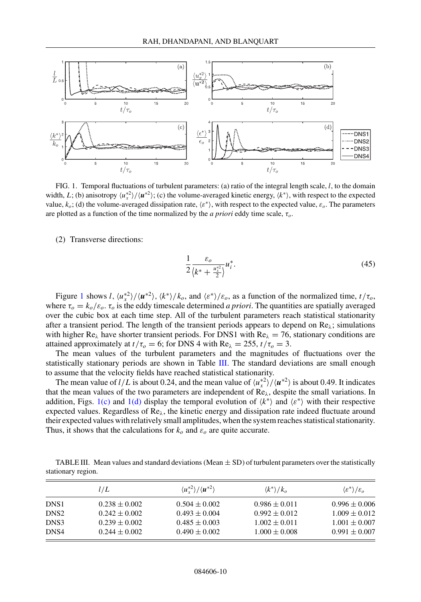

FIG. 1. Temporal fluctuations of turbulent parameters: (a) ratio of the integral length scale, *l*, to the domain width, *L*; (b) anisotropy  $\langle u_x^*^2 \rangle / \langle u^{*2} \rangle$ ; (c) the volume-averaged kinetic energy,  $\langle k^* \rangle$ , with respect to the expected value,  $k_o$ ; (d) the volume-averaged dissipation rate,  $\langle \varepsilon^* \rangle$ , with respect to the expected value,  $\varepsilon_o$ . The parameters are plotted as a function of the time normalized by the *a priori* eddy time scale, *τo*.

(2) Transverse directions:

$$
\frac{1}{2} \frac{\varepsilon_o}{\left(k^* + \frac{u_x^{*2}}{2}\right)} u_i^*.
$$
\n(45)

Figure 1 shows *l*,  $\langle u_x^* \rangle / \langle u^{*2} \rangle$ ,  $\langle k^* \rangle / k_o$ , and  $\langle \varepsilon^* \rangle / \varepsilon_o$ , as a function of the normalized time,  $t / \tau_o$ , where  $\tau_o = k_o/\varepsilon_o$ .  $\tau_o$  is the eddy timescale determined *a priori*. The quantities are spatially averaged over the cubic box at each time step. All of the turbulent parameters reach statistical stationarity after a transient period. The length of the transient periods appears to depend on Re*λ*; simulations with higher Re<sub>λ</sub> have shorter transient periods. For DNS1 with Re<sub>λ</sub> = 76, stationary conditions are attained approximately at  $t/\tau_o = 6$ ; for DNS 4 with Re<sub> $\lambda$ </sub> = 255,  $t/\tau_o = 3$ .

The mean values of the turbulent parameters and the magnitudes of fluctuations over the statistically stationary periods are shown in Table III. The standard deviations are small enough to assume that the velocity fields have reached statistical stationarity.

The mean value of *l/L* is about 0.24, and the mean value of  $\langle u_x^*^2 \rangle / \langle u^{*2} \rangle$  is about 0.49. It indicates that the mean values of the two parameters are independent of Re*λ*, despite the small variations. In addition, Figs. 1(c) and 1(d) display the temporal evolution of  $\langle k^* \rangle$  and  $\langle \varepsilon^* \rangle$  with their respective expected values. Regardless of Re*λ*, the kinetic energy and dissipation rate indeed fluctuate around their expected values with relatively small amplitudes, when the system reaches statistical stationarity. Thus, it shows that the calculations for  $k_0$  and  $\varepsilon_0$  are quite accurate.

TABLE III. Mean values and standard deviations (Mean  $\pm$  SD) of turbulent parameters over the statistically stationary region.

|                  | l/L               | $\langle u_*^{*2} \rangle / \langle u^{*2} \rangle$ | $\langle k^* \rangle / k_o$ | $\langle \varepsilon^* \rangle / \varepsilon_o$ |
|------------------|-------------------|-----------------------------------------------------|-----------------------------|-------------------------------------------------|
| DNS <sub>1</sub> | $0.238 \pm 0.002$ | $0.504 \pm 0.002$                                   | $0.986 \pm 0.011$           | $0.996 \pm 0.006$                               |
| DNS <sub>2</sub> | $0.242 \pm 0.002$ | $0.493 \pm 0.004$                                   | $0.992 \pm 0.012$           | $1.009 \pm 0.012$                               |
| DNS3             | $0.239 \pm 0.002$ | $0.485 \pm 0.003$                                   | $1.002 \pm 0.011$           | $1.001 \pm 0.007$                               |
| DNS4             | $0.244 \pm 0.002$ | $0.490 \pm 0.002$                                   | $1.000 \pm 0.008$           | $0.991 \pm 0.007$                               |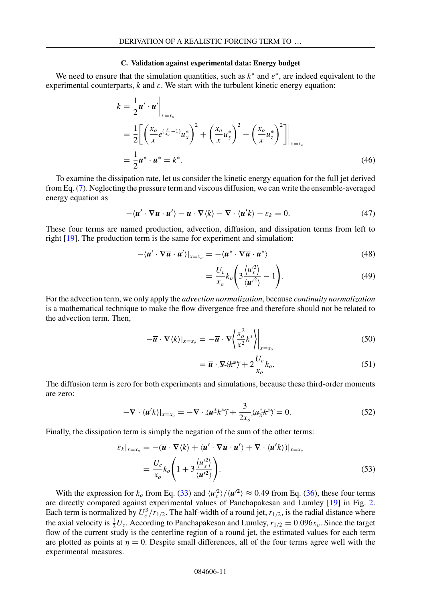#### **C. Validation against experimental data: Energy budget**

<span id="page-10-0"></span>We need to ensure that the simulation quantities, such as  $k^*$  and  $\varepsilon^*$ , are indeed equivalent to the experimental counterparts,  $k$  and  $\varepsilon$ . We start with the turbulent kinetic energy equation:

$$
k = \frac{1}{2}u' \cdot u'\Big|_{x=x_0}
$$
  
=  $\frac{1}{2}\Biggl[\Biggl(\frac{x_o}{x}e^{(\frac{x}{x_o}-1)}u_x^*\Biggr)^2 + \Biggl(\frac{x_o}{x}u_y^*\Biggr)^2 + \Biggl(\frac{x_o}{x}u_z^*\Biggr)^2\Biggr]\Biggr|_{x=x_0}$   
=  $\frac{1}{2}u^*\cdot u^* = k^*.$  (46)

To examine the dissipation rate, let us consider the kinetic energy equation for the full jet derived from Eq. [\(7\)](#page-2-0). Neglecting the pressure term and viscous diffusion, we can write the ensemble-averaged energy equation as

$$
-\langle \mathbf{u}' \cdot \nabla \overline{\mathbf{u}} \cdot \mathbf{u}' \rangle - \overline{\mathbf{u}} \cdot \nabla \langle k \rangle - \nabla \cdot \langle \mathbf{u}' k \rangle - \overline{\varepsilon}_k = 0. \tag{47}
$$

These four terms are named production, advection, diffusion, and dissipation terms from left to right [\[19\]](#page-15-0). The production term is the same for experiment and simulation:

$$
-\langle \mathbf{u}' \cdot \nabla \overline{\mathbf{u}} \cdot \mathbf{u}' \rangle|_{x=x_o} = -\langle \mathbf{u}^* \cdot \nabla \overline{\mathbf{u}} \cdot \mathbf{u}^* \rangle \tag{48}
$$

$$
=\frac{U_c}{x_o}k_o\left(3\frac{\langle u_x^{\prime 2}\rangle}{\langle u^{\prime 2}\rangle}-1\right).
$$
\n(49)

For the advection term, we only apply the *advection normalization*, because *continuity normalization* is a mathematical technique to make the flow divergence free and therefore should not be related to the advection term. Then,

$$
-\overline{\boldsymbol{u}} \cdot \nabla \langle k \rangle|_{x=x_o} = -\overline{\boldsymbol{u}} \cdot \nabla \left\langle \frac{x_o^2}{x^2} k^* \right\rangle|_{x=x_o}
$$
(50)

$$
= \overline{u} \cdot \Sigma \langle k^* \rangle + 2 \frac{U_c}{x_o} k_o.
$$
 (51)

The diffusion term is zero for both experiments and simulations, because these third-order moments are zero:

$$
-\nabla \cdot \langle \mathbf{u}'k \rangle|_{x=x_0} = -\nabla \cdot \langle \mathbf{u}^*k^* \rangle + \frac{3}{2x_0} \langle \mathbf{u}^*_{\bar{x}}k^* \rangle = 0. \tag{52}
$$

Finally, the dissipation term is simply the negation of the sum of the other terms:

$$
\overline{\varepsilon}_{k}|_{x=x_{o}} = -(\overline{\boldsymbol{u}} \cdot \nabla \langle k \rangle + \langle \boldsymbol{u}' \cdot \nabla \overline{\boldsymbol{u}} \cdot \boldsymbol{u}' \rangle + \nabla \cdot \langle \boldsymbol{u}' k \rangle)|_{x=x_{o}}
$$
\n
$$
= \frac{U_{c}}{x_{o}} k_{o} \left( 1 + 3 \frac{\langle u_{x}^{\prime 2} \rangle}{\langle \boldsymbol{u}'^{2} \rangle} \right).
$$
\n(53)

With the expression for  $k_o$  from Eq. [\(33\)](#page-6-0) and  $\langle u_x^2 \rangle / \langle u^2 \rangle \approx 0.49$  from Eq. [\(36\)](#page-6-0), these four terms are directly compared against experimental values of Panchapakesan and Lumley [\[19\]](#page-15-0) in Fig. [2.](#page-11-0) Each term is normalized by  $U_c^3/r_{1/2}$ . The half-width of a round jet,  $r_{1/2}$ , is the radial distance where the axial velocity is  $\frac{1}{2}U_c$ . According to Panchapakesan and Lumley,  $r_{1/2} = 0.096x_o$ . Since the target flow of the current study is the centerline region of a round jet, the estimated values for each term are plotted as points at  $\eta = 0$ . Despite small differences, all of the four terms agree well with the experimental measures.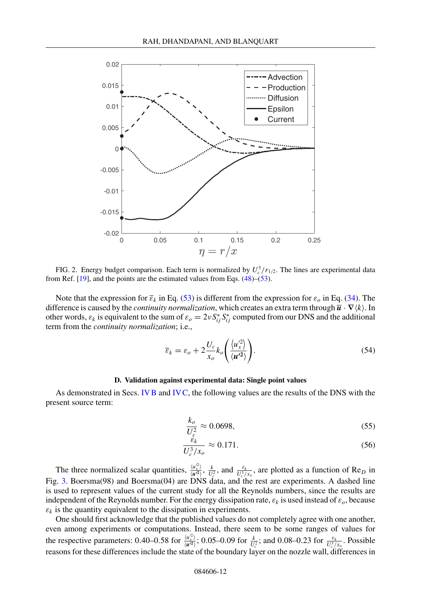<span id="page-11-0"></span>

FIG. 2. Energy budget comparison. Each term is normalized by  $U_c^3/r_{1/2}$ . The lines are experimental data from Ref.  $[19]$ , and the points are the estimated values from Eqs.  $(48)$ – $(53)$ .

Note that the expression for  $\bar{\epsilon}_k$  in Eq. [\(53\)](#page-10-0) is different from the expression for  $\epsilon_o$  in Eq. [\(34\)](#page-6-0). The difference is caused by the *continuity normalization*, which creates an extra term through  $\overline{u} \cdot \nabla \langle k \rangle$ . In other words,  $\varepsilon_k$  is equivalent to the sum of  $\varepsilon_o = 2vS_{ij}^*S_{ij}^*$  computed from our DNS and the additional term from the *continuity normalization*; i.e.,

$$
\overline{\varepsilon}_k = \varepsilon_o + 2 \frac{U_c}{x_o} k_o \left( \frac{\langle u_x'^2 \rangle}{\langle u'^2 \rangle} \right).
$$
\n(54)

## **D. Validation against experimental data: Single point values**

As demonstrated in Secs. [IVB](#page-8-0) and [IVC,](#page-10-0) the following values are the results of the DNS with the present source term:

$$
\frac{k_o}{U_c^2} \approx 0.0698,\tag{55}
$$

$$
\frac{\dot{\varepsilon}_k}{U_c^3/x_o} \approx 0.171. \tag{56}
$$

The three normalized scalar quantities,  $\frac{\langle u_x^2 \rangle}{\langle u_x^2 \rangle}$ ,  $\frac{k}{U_c^2}$ , and  $\frac{\varepsilon_k}{U_c^2/x_o}$ , are plotted as a function of Re<sub>*D*</sub> in Fig. [3.](#page-12-0) Boersma(98) and Boersma(04) are DNS data, and the rest are experiments. A dashed line is used to represent values of the current study for all the Reynolds numbers, since the results are independent of the Reynolds number. For the energy dissipation rate,  $\varepsilon_k$  is used instead of  $\varepsilon_o$ , because  $\varepsilon_k$  is the quantity equivalent to the dissipation in experiments.

One should first acknowledge that the published values do not completely agree with one another, even among experiments or computations. Instead, there seem to be some ranges of values for the respective parameters: 0.40–0.58 for  $\frac{\langle u_x^2 \rangle}{\langle u^2 \rangle}$ ; 0.05–0.09 for  $\frac{k}{U_c^2}$ ; and 0.08–0.23 for  $\frac{\varepsilon_k}{U_c^2}$ . Possible reasons for these differences include the state of the boundary layer on the nozzle wall, differences in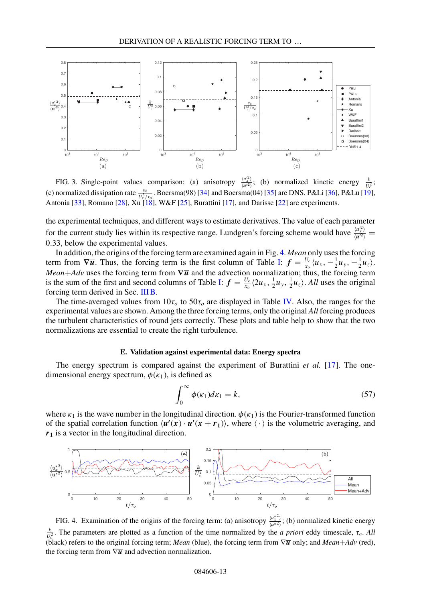<span id="page-12-0"></span>

FIG. 3. Single-point values comparison: (a) anisotropy  $\frac{\langle u_x^2 \rangle}{\langle u^2 \rangle}$ ; (b) normalized kinetic energy  $\frac{k}{U_c^2}$ ; (c) normalized dissipation rate  $\frac{\varepsilon_k}{U_c^3/x_o}$ . Boersma(98) [\[34\]](#page-15-0) and Boersma(04) [\[35\]](#page-16-0) are DNS. P&Li [\[36\]](#page-16-0), P&Lu [\[19\]](#page-15-0), Antonia [\[33\]](#page-15-0), Romano [\[28\]](#page-15-0), Xu [\[18\]](#page-15-0), W&F [\[25\]](#page-15-0), Burattini [\[17\]](#page-15-0), and Darisse [\[22\]](#page-15-0) are experiments.

the experimental techniques, and different ways to estimate derivatives. The value of each parameter for the current study lies within its respective range. Lundgren's forcing scheme would have  $\frac{\langle u_x^2 \rangle}{\langle u^2 \rangle} = 0.23$ 0*.*33, below the experimental values.

In addition, the origins of the forcing term are examined again in Fig. 4. *Mean* only uses the forcing term from  $\nabla \overline{u}$ . Thus, the forcing term is the first column of Table [I:](#page-5-0)  $f = \frac{U_c}{x_o} \langle u_x, -\frac{1}{2} u_y, -\frac{1}{2} u_z \rangle$ . *Mean*+*Adv* uses the forcing term from  $\nabla \overline{u}$  and the advection normalization; thus, the forcing term is the sum of the first and second columns of Table [I:](#page-5-0)  $f = \frac{U_c}{x_o} \langle 2u_x, \frac{1}{2}u_y, \frac{1}{2}u_z \rangle$ . All uses the original forcing term derived in Sec. [IIIB.](#page-3-0)

The time-averaged values from  $10\tau_o$  to  $50\tau_o$  are displayed in Table [IV.](#page-13-0) Also, the ranges for the experimental values are shown. Among the three forcing terms, only the original *All* forcing produces the turbulent characteristics of round jets correctly. These plots and table help to show that the two normalizations are essential to create the right turbulence.

## **E. Validation against experimental data: Energy spectra**

The energy spectrum is compared against the experiment of Burattini *et al.* [\[17\]](#page-15-0). The onedimensional energy spectrum,  $\phi(\kappa_1)$ , is defined as

$$
\int_0^\infty \phi(\kappa_1) d\kappa_1 = k,\tag{57}
$$

where  $\kappa_1$  is the wave number in the longitudinal direction.  $\phi(\kappa_1)$  is the Fourier-transformed function of the spatial correlation function  $\langle u'(x) \cdot u'(x+r_1) \rangle$ , where  $\langle \cdot \rangle$  is the volumetric averaging, and *r***<sup>1</sup>** is a vector in the longitudinal direction.



FIG. 4. Examination of the origins of the forcing term: (a) anisotropy  $\frac{\langle u_x^*^2 \rangle}{\langle u_x^* \rangle}$  $\frac{\langle u_{\overline{x}} \rangle}{\langle u^{*2} \rangle}$ ; (b) normalized kinetic energy  $\frac{k}{U_c^2}$ . The parameters are plotted as a function of the time normalized by the *a priori* eddy timescale, *τ<sub>o</sub>*. *All* (black) refers to the original forcing term; *Mean* (blue), the forcing term from ∇*u* only; and *Mean*+*Adv* (red), the forcing term from  $\nabla \overline{u}$  and advection normalization.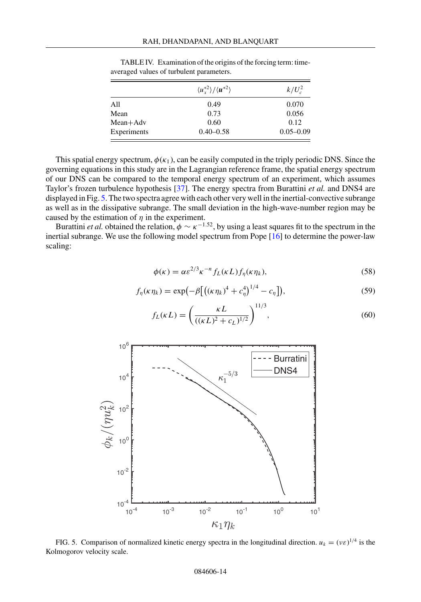|             | $\langle u_\tau^{*2} \rangle / \langle u^{*2} \rangle$ | $k/U_c^2$     |
|-------------|--------------------------------------------------------|---------------|
| All         | 0.49                                                   | 0.070         |
| Mean        | 0.73                                                   | 0.056         |
| $Mean+Adv$  | 0.60                                                   | 0.12          |
| Experiments | $0.40 - 0.58$                                          | $0.05 - 0.09$ |

<span id="page-13-0"></span>TABLE IV. Examination of the origins of the forcing term: timeaveraged values of turbulent parameters.

This spatial energy spectrum,  $\phi(\kappa_1)$ , can be easily computed in the triply periodic DNS. Since the governing equations in this study are in the Lagrangian reference frame, the spatial energy spectrum of our DNS can be compared to the temporal energy spectrum of an experiment, which assumes Taylor's frozen turbulence hypothesis [\[37\]](#page-16-0). The energy spectra from Burattini *et al.* and DNS4 are displayed in Fig. 5. The two spectra agree with each other very well in the inertial-convective subrange as well as in the dissipative subrange. The small deviation in the high-wave-number region may be caused by the estimation of *η* in the experiment.

Burattini *et al.* obtained the relation,  $\phi \sim \kappa^{-1.52}$ , by using a least squares fit to the spectrum in the inertial subrange. We use the following model spectrum from Pope [\[16\]](#page-15-0) to determine the power-law scaling:

$$
\phi(\kappa) = \alpha \varepsilon^{2/3} \kappa^{-n} f_L(\kappa L) f_\eta(\kappa \eta_k),\tag{58}
$$

$$
f_{\eta}(\kappa \eta_k) = \exp\left(-\beta \left[ \left( (\kappa \eta_k)^4 + c_{\eta}^4 \right)^{1/4} - c_{\eta} \right] \right),\tag{59}
$$

$$
f_L(\kappa L) = \left(\frac{\kappa L}{((\kappa L)^2 + c_L)^{1/2}}\right)^{11/3},\tag{60}
$$



FIG. 5. Comparison of normalized kinetic energy spectra in the longitudinal direction.  $u_k = (v \varepsilon)^{1/4}$  is the Kolmogorov velocity scale.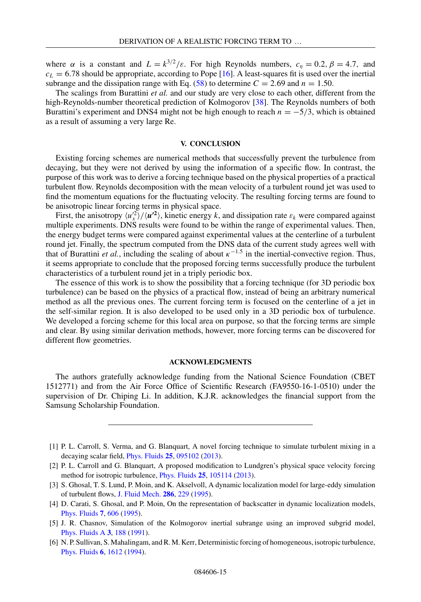<span id="page-14-0"></span>where  $\alpha$  is a constant and  $L = k^{3/2}/\varepsilon$ . For high Reynolds numbers,  $c_n = 0.2$ ,  $\beta = 4.7$ , and  $c_L$  = 6.78 should be appropriate, according to Pope [\[16\]](#page-15-0). A least-squares fit is used over the inertial subrange and the dissipation range with Eq. [\(58\)](#page-13-0) to determine  $C = 2.69$  and  $n = 1.50$ .

The scalings from Burattini *et al.* and our study are very close to each other, different from the high-Reynolds-number theoretical prediction of Kolmogorov [\[38\]](#page-16-0). The Reynolds numbers of both Burattini's experiment and DNS4 might not be high enough to reach  $n = -5/3$ , which is obtained as a result of assuming a very large Re.

#### **V. CONCLUSION**

Existing forcing schemes are numerical methods that successfully prevent the turbulence from decaying, but they were not derived by using the information of a specific flow. In contrast, the purpose of this work was to derive a forcing technique based on the physical properties of a practical turbulent flow. Reynolds decomposition with the mean velocity of a turbulent round jet was used to find the momentum equations for the fluctuating velocity. The resulting forcing terms are found to be anisotropic linear forcing terms in physical space.

First, the anisotropy  $\langle u_x^2 \rangle / \langle u^2 \rangle$ , kinetic energy *k*, and dissipation rate  $\varepsilon_k$  were compared against multiple experiments. DNS results were found to be within the range of experimental values. Then, the energy budget terms were compared against experimental values at the centerline of a turbulent round jet. Finally, the spectrum computed from the DNS data of the current study agrees well with that of Burattini *et al.*, including the scaling of about  $\kappa^{-1.5}$  in the inertial-convective region. Thus, it seems appropriate to conclude that the proposed forcing terms successfully produce the turbulent characteristics of a turbulent round jet in a triply periodic box.

The essence of this work is to show the possibility that a forcing technique (for 3D periodic box turbulence) can be based on the physics of a practical flow, instead of being an arbitrary numerical method as all the previous ones. The current forcing term is focused on the centerline of a jet in the self-similar region. It is also developed to be used only in a 3D periodic box of turbulence. We developed a forcing scheme for this local area on purpose, so that the forcing terms are simple and clear. By using similar derivation methods, however, more forcing terms can be discovered for different flow geometries.

# **ACKNOWLEDGMENTS**

The authors gratefully acknowledge funding from the National Science Foundation (CBET 1512771) and from the Air Force Office of Scientific Research (FA9550-16-1-0510) under the supervision of Dr. Chiping Li. In addition, K.J.R. acknowledges the financial support from the Samsung Scholarship Foundation.

- [1] P. L. Carroll, S. Verma, and G. Blanquart, A novel forcing technique to simulate turbulent mixing in a decaying scalar field, [Phys. Fluids](https://doi.org/10.1063/1.4819782) **[25](https://doi.org/10.1063/1.4819782)**, [095102](https://doi.org/10.1063/1.4819782) [\(2013\)](https://doi.org/10.1063/1.4819782).
- [2] P. L. Carroll and G. Blanquart, A proposed modification to Lundgren's physical space velocity forcing method for isotropic turbulence, [Phys. Fluids](https://doi.org/10.1063/1.4826315) **[25](https://doi.org/10.1063/1.4826315)**, [105114](https://doi.org/10.1063/1.4826315) [\(2013\)](https://doi.org/10.1063/1.4826315).
- [3] S. Ghosal, T. S. Lund, P. Moin, and K. Akselvoll, A dynamic localization model for large-eddy simulation of turbulent flows, [J. Fluid Mech.](https://doi.org/10.1017/S0022112095000711) **[286](https://doi.org/10.1017/S0022112095000711)**, [229](https://doi.org/10.1017/S0022112095000711) [\(1995\)](https://doi.org/10.1017/S0022112095000711).
- [4] D. Carati, S. Ghosal, and P. Moin, On the representation of backscatter in dynamic localization models, [Phys. Fluids](https://doi.org/10.1063/1.868585) **[7](https://doi.org/10.1063/1.868585)**, [606](https://doi.org/10.1063/1.868585) [\(1995\)](https://doi.org/10.1063/1.868585).
- [5] J. R. Chasnov, Simulation of the Kolmogorov inertial subrange using an improved subgrid model, [Phys. Fluids A](https://doi.org/10.1063/1.857878) **[3](https://doi.org/10.1063/1.857878)**, [188](https://doi.org/10.1063/1.857878) [\(1991\)](https://doi.org/10.1063/1.857878).
- [6] N. P. Sullivan, S. Mahalingam, and R. M. Kerr, Deterministic forcing of homogeneous, isotropic turbulence, [Phys. Fluids](https://doi.org/10.1063/1.868274) **[6](https://doi.org/10.1063/1.868274)**, [1612](https://doi.org/10.1063/1.868274) [\(1994\)](https://doi.org/10.1063/1.868274).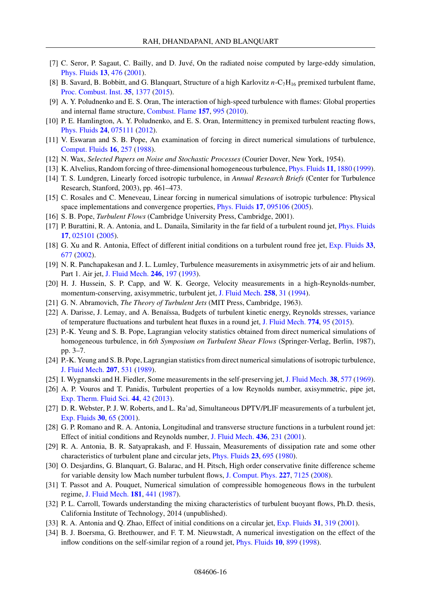- <span id="page-15-0"></span>[7] C. Seror, P. Sagaut, C. Bailly, and D. Juvé, On the radiated noise computed by large-eddy simulation, [Phys. Fluids](https://doi.org/10.1063/1.1336150) **[13](https://doi.org/10.1063/1.1336150)**, [476](https://doi.org/10.1063/1.1336150) [\(2001\)](https://doi.org/10.1063/1.1336150).
- [8] B. Savard, B. Bobbitt, and G. Blanquart, Structure of a high Karlovitz *n*-C7H16 premixed turbulent flame, [Proc. Combust. Inst.](https://doi.org/10.1016/j.proci.2014.06.133) **[35](https://doi.org/10.1016/j.proci.2014.06.133)**, [1377](https://doi.org/10.1016/j.proci.2014.06.133) [\(2015\)](https://doi.org/10.1016/j.proci.2014.06.133).
- [9] A. Y. Poludnenko and E. S. Oran, The interaction of high-speed turbulence with flames: Global properties and internal flame structure, [Combust. Flame](https://doi.org/10.1016/j.combustflame.2009.11.018) **[157](https://doi.org/10.1016/j.combustflame.2009.11.018)**, [995](https://doi.org/10.1016/j.combustflame.2009.11.018) [\(2010\)](https://doi.org/10.1016/j.combustflame.2009.11.018).
- [10] P. E. Hamlington, A. Y. Poludnenko, and E. S. Oran, Intermittency in premixed turbulent reacting flows, [Phys. Fluids](https://doi.org/10.1063/1.4729615) **[24](https://doi.org/10.1063/1.4729615)**, [075111](https://doi.org/10.1063/1.4729615) [\(2012\)](https://doi.org/10.1063/1.4729615).
- [11] V. Eswaran and S. B. Pope, An examination of forcing in direct numerical simulations of turbulence, [Comput. Fluids](https://doi.org/10.1016/0045-7930(88)90013-8) **[16](https://doi.org/10.1016/0045-7930(88)90013-8)**, [257](https://doi.org/10.1016/0045-7930(88)90013-8) [\(1988\)](https://doi.org/10.1016/0045-7930(88)90013-8).
- [12] N. Wax, *Selected Papers on Noise and Stochastic Processes* (Courier Dover, New York, 1954).
- [13] K. Alvelius, Random forcing of three-dimensional homogeneous turbulence, [Phys. Fluids](https://doi.org/10.1063/1.870050) **[11](https://doi.org/10.1063/1.870050)**, [1880](https://doi.org/10.1063/1.870050) [\(1999\)](https://doi.org/10.1063/1.870050).
- [14] T. S. Lundgren, Linearly forced isotropic turbulence, in *Annual Research Briefs* (Center for Turbulence Research, Stanford, 2003), pp. 461–473.
- [15] C. Rosales and C. Meneveau, Linear forcing in numerical simulations of isotropic turbulence: Physical space implementations and convergence properties, [Phys. Fluids](https://doi.org/10.1063/1.2047568) **[17](https://doi.org/10.1063/1.2047568)**, [095106](https://doi.org/10.1063/1.2047568) [\(2005\)](https://doi.org/10.1063/1.2047568).
- [16] S. B. Pope, *Turbulent Flows* (Cambridge University Press, Cambridge, 2001).
- [17] P. Burattini, R. A. Antonia, and L. Danaila, Similarity in the far field of a turbulent round jet, [Phys. Fluids](https://doi.org/10.1063/1.1833414) **[17](https://doi.org/10.1063/1.1833414)**, [025101](https://doi.org/10.1063/1.1833414) [\(2005\)](https://doi.org/10.1063/1.1833414).
- [18] G. Xu and R. Antonia, Effect of different initial conditions on a turbulent round free jet, [Exp. Fluids](https://doi.org/10.1007/s00348-002-0523-7) **[33](https://doi.org/10.1007/s00348-002-0523-7)**, [677](https://doi.org/10.1007/s00348-002-0523-7) [\(2002\)](https://doi.org/10.1007/s00348-002-0523-7).
- [19] N. R. Panchapakesan and J. L. Lumley, Turbulence measurements in axisymmetric jets of air and helium. Part 1. Air jet, [J. Fluid Mech.](https://doi.org/10.1017/S0022112093000096) **[246](https://doi.org/10.1017/S0022112093000096)**, [197](https://doi.org/10.1017/S0022112093000096) [\(1993\)](https://doi.org/10.1017/S0022112093000096).
- [20] H. J. Hussein, S. P. Capp, and W. K. George, Velocity measurements in a high-Reynolds-number, momentum-conserving, axisymmetric, turbulent jet, [J. Fluid Mech.](https://doi.org/10.1017/S002211209400323X) **[258](https://doi.org/10.1017/S002211209400323X)**, [31](https://doi.org/10.1017/S002211209400323X) [\(1994\)](https://doi.org/10.1017/S002211209400323X).
- [21] G. N. Abramovich, *The Theory of Turbulent Jets* (MIT Press, Cambridge, 1963).
- [22] A. Darisse, J. Lemay, and A. Benaïssa, Budgets of turbulent kinetic energy, Reynolds stresses, variance of temperature fluctuations and turbulent heat fluxes in a round jet, [J. Fluid Mech.](https://doi.org/10.1017/jfm.2015.245) **[774](https://doi.org/10.1017/jfm.2015.245)**, [95](https://doi.org/10.1017/jfm.2015.245) [\(2015\)](https://doi.org/10.1017/jfm.2015.245).
- [23] P.-K. Yeung and S. B. Pope, Lagrangian velocity statistics obtained from direct numerical simulations of homogeneous turbulence, in *6th Symposium on Turbulent Shear Flows* (Springer-Verlag, Berlin, 1987), pp. 3–7.
- [24] P.-K. Yeung and S. B. Pope, Lagrangian statistics from direct numerical simulations of isotropic turbulence, [J. Fluid Mech.](https://doi.org/10.1017/S0022112089002697) **[207](https://doi.org/10.1017/S0022112089002697)**, [531](https://doi.org/10.1017/S0022112089002697) [\(1989\)](https://doi.org/10.1017/S0022112089002697).
- [25] I. Wygnanski and H. Fiedler, Some measurements in the self-preserving jet, [J. Fluid Mech.](https://doi.org/10.1017/S0022112069000358) **[38](https://doi.org/10.1017/S0022112069000358)**, [577](https://doi.org/10.1017/S0022112069000358) [\(1969\)](https://doi.org/10.1017/S0022112069000358).
- [26] A. P. Vouros and T. Panidis, Turbulent properties of a low Reynolds number, axisymmetric, pipe jet, [Exp. Therm. Fluid Sci.](https://doi.org/10.1016/j.expthermflusci.2012.05.012) **[44](https://doi.org/10.1016/j.expthermflusci.2012.05.012)**, [42](https://doi.org/10.1016/j.expthermflusci.2012.05.012) [\(2013\)](https://doi.org/10.1016/j.expthermflusci.2012.05.012).
- [27] D. R. Webster, P. J. W. Roberts, and L. Ra'ad, Simultaneous DPTV/PLIF measurements of a turbulent jet, [Exp. Fluids](https://doi.org/10.1007/s003480000137) **[30](https://doi.org/10.1007/s003480000137)**, [65](https://doi.org/10.1007/s003480000137) [\(2001\)](https://doi.org/10.1007/s003480000137).
- [28] G. P. Romano and R. A. Antonia, Longitudinal and transverse structure functions in a turbulent round jet: Effect of initial conditions and Reynolds number, [J. Fluid Mech.](https://doi.org/10.1017/S0022112001003901) **[436](https://doi.org/10.1017/S0022112001003901)**, [231](https://doi.org/10.1017/S0022112001003901) [\(2001\)](https://doi.org/10.1017/S0022112001003901).
- [29] R. A. Antonia, B. R. Satyaprakash, and F. Hussain, Measurements of dissipation rate and some other characteristics of turbulent plane and circular jets, [Phys. Fluids](https://doi.org/10.1063/1.863055) **[23](https://doi.org/10.1063/1.863055)**, [695](https://doi.org/10.1063/1.863055) [\(1980\)](https://doi.org/10.1063/1.863055).
- [30] O. Desjardins, G. Blanquart, G. Balarac, and H. Pitsch, High order conservative finite difference scheme for variable density low Mach number turbulent flows, [J. Comput. Phys.](https://doi.org/10.1016/j.jcp.2008.03.027) **[227](https://doi.org/10.1016/j.jcp.2008.03.027)**, [7125](https://doi.org/10.1016/j.jcp.2008.03.027) [\(2008\)](https://doi.org/10.1016/j.jcp.2008.03.027).
- [31] T. Passot and A. Pouquet, Numerical simulation of compressible homogeneous flows in the turbulent regime, [J. Fluid Mech.](https://doi.org/10.1017/S0022112087002167) **[181](https://doi.org/10.1017/S0022112087002167)**, [441](https://doi.org/10.1017/S0022112087002167) [\(1987\)](https://doi.org/10.1017/S0022112087002167).
- [32] P. L. Carroll, Towards understanding the mixing characteristics of turbulent buoyant flows, Ph.D. thesis, California Institute of Technology, 2014 (unpublished).
- [33] R. A. Antonia and Q. Zhao, Effect of initial conditions on a circular jet, [Exp. Fluids](https://doi.org/10.1007/s003480100289) **[31](https://doi.org/10.1007/s003480100289)**, [319](https://doi.org/10.1007/s003480100289) [\(2001\)](https://doi.org/10.1007/s003480100289).
- [34] B. J. Boersma, G. Brethouwer, and F. T. M. Nieuwstadt, A numerical investigation on the effect of the inflow conditions on the self-similar region of a round jet, [Phys. Fluids](https://doi.org/10.1063/1.869626) **[10](https://doi.org/10.1063/1.869626)**, [899](https://doi.org/10.1063/1.869626) [\(1998\)](https://doi.org/10.1063/1.869626).